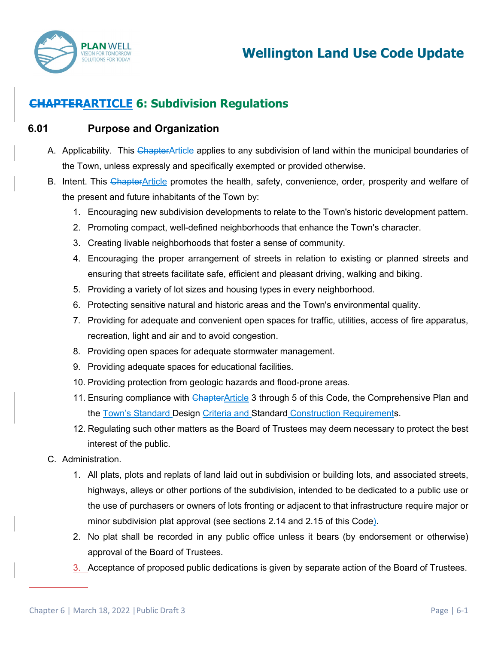

# **CHAPTERARTICLE 6: Subdivision Regulations**

#### **6.01 Purpose and Organization**

- A. Applicability. This ChapterArticle applies to any subdivision of land within the municipal boundaries of the Town, unless expressly and specifically exempted or provided otherwise.
- B. Intent. This ChapterArticle promotes the health, safety, convenience, order, prosperity and welfare of the present and future inhabitants of the Town by:
	- 1. Encouraging new subdivision developments to relate to the Town's historic development pattern.
	- 2. Promoting compact, well-defined neighborhoods that enhance the Town's character.
	- 3. Creating livable neighborhoods that foster a sense of community.
	- 4. Encouraging the proper arrangement of streets in relation to existing or planned streets and ensuring that streets facilitate safe, efficient and pleasant driving, walking and biking.
	- 5. Providing a variety of lot sizes and housing types in every neighborhood.
	- 6. Protecting sensitive natural and historic areas and the Town's environmental quality.
	- 7. Providing for adequate and convenient open spaces for traffic, utilities, access of fire apparatus, recreation, light and air and to avoid congestion.
	- 8. Providing open spaces for adequate stormwater management.
	- 9. Providing adequate spaces for educational facilities.
	- 10. Providing protection from geologic hazards and flood-prone areas.
	- 11. Ensuring compliance with ChapterArticle 3 through 5 of this Code, the Comprehensive Plan and the Town's Standard Design Criteria and Standard Construction Requirements.
	- 12. Regulating such other matters as the Board of Trustees may deem necessary to protect the best interest of the public.
- C. Administration.
	- 1. All plats, plots and replats of land laid out in subdivision or building lots, and associated streets, highways, alleys or other portions of the subdivision, intended to be dedicated to a public use or the use of purchasers or owners of lots fronting or adjacent to that infrastructure require major or minor subdivision plat approval (see sections 2.14 and 2.15 of this Code).
	- 2. No plat shall be recorded in any public office unless it bears (by endorsement or otherwise) approval of the Board of Trustees.
	- 3. Acceptance of proposed public dedications is given by separate action of the Board of Trustees.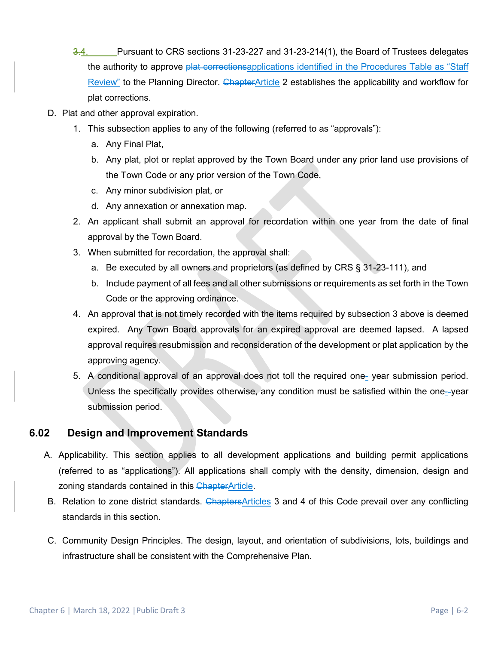- 3.4. Pursuant to CRS sections 31-23-227 and 31-23-214(1), the Board of Trustees delegates the authority to approve plat corrections applications identified in the Procedures Table as "Staff Review" to the Planning Director. ChapterArticle 2 establishes the applicability and workflow for plat corrections.
- D. Plat and other approval expiration.
	- 1. This subsection applies to any of the following (referred to as "approvals"):
		- a. Any Final Plat,
		- b. Any plat, plot or replat approved by the Town Board under any prior land use provisions of the Town Code or any prior version of the Town Code,
		- c. Any minor subdivision plat, or
		- d. Any annexation or annexation map.
	- 2. An applicant shall submit an approval for recordation within one year from the date of final approval by the Town Board.
	- 3. When submitted for recordation, the approval shall:
		- a. Be executed by all owners and proprietors (as defined by CRS § 31-23-111), and
		- b. Include payment of all fees and all other submissions or requirements as set forth in the Town Code or the approving ordinance.
	- 4. An approval that is not timely recorded with the items required by subsection 3 above is deemed expired. Any Town Board approvals for an expired approval are deemed lapsed. A lapsed approval requires resubmission and reconsideration of the development or plat application by the approving agency.
	- 5. A conditional approval of an approval does not toll the required one--year submission period. Unless the specifically provides otherwise, any condition must be satisfied within the one- year submission period.

## **6.02 Design and Improvement Standards**

- A. Applicability. This section applies to all development applications and building permit applications (referred to as "applications"). All applications shall comply with the density, dimension, design and zoning standards contained in this ChapterArticle.
- B. Relation to zone district standards. ChaptersArticles 3 and 4 of this Code prevail over any conflicting standards in this section.
- C. Community Design Principles. The design, layout, and orientation of subdivisions, lots, buildings and infrastructure shall be consistent with the Comprehensive Plan.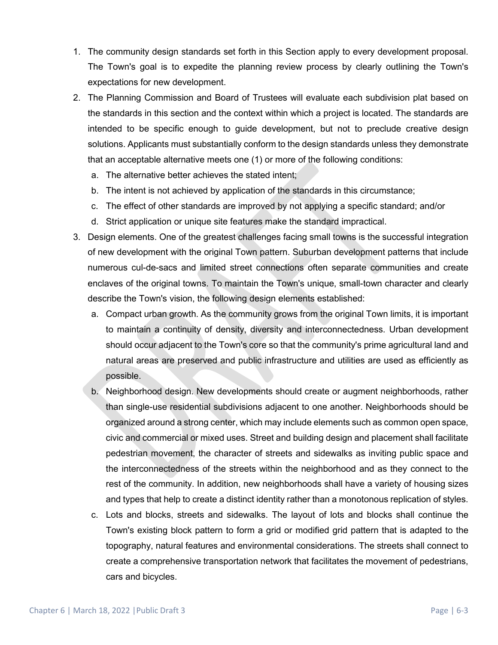- 1. The community design standards set forth in this Section apply to every development proposal. The Town's goal is to expedite the planning review process by clearly outlining the Town's expectations for new development.
- 2. The Planning Commission and Board of Trustees will evaluate each subdivision plat based on the standards in this section and the context within which a project is located. The standards are intended to be specific enough to guide development, but not to preclude creative design solutions. Applicants must substantially conform to the design standards unless they demonstrate that an acceptable alternative meets one (1) or more of the following conditions:
	- a. The alternative better achieves the stated intent;
	- b. The intent is not achieved by application of the standards in this circumstance;
	- c. The effect of other standards are improved by not applying a specific standard; and/or
	- d. Strict application or unique site features make the standard impractical.
- 3. Design elements. One of the greatest challenges facing small towns is the successful integration of new development with the original Town pattern. Suburban development patterns that include numerous cul-de-sacs and limited street connections often separate communities and create enclaves of the original towns. To maintain the Town's unique, small-town character and clearly describe the Town's vision, the following design elements established:
	- a. Compact urban growth. As the community grows from the original Town limits, it is important to maintain a continuity of density, diversity and interconnectedness. Urban development should occur adjacent to the Town's core so that the community's prime agricultural land and natural areas are preserved and public infrastructure and utilities are used as efficiently as possible.
	- b. Neighborhood design. New developments should create or augment neighborhoods, rather than single-use residential subdivisions adjacent to one another. Neighborhoods should be organized around a strong center, which may include elements such as common open space, civic and commercial or mixed uses. Street and building design and placement shall facilitate pedestrian movement, the character of streets and sidewalks as inviting public space and the interconnectedness of the streets within the neighborhood and as they connect to the rest of the community. In addition, new neighborhoods shall have a variety of housing sizes and types that help to create a distinct identity rather than a monotonous replication of styles.
	- c. Lots and blocks, streets and sidewalks. The layout of lots and blocks shall continue the Town's existing block pattern to form a grid or modified grid pattern that is adapted to the topography, natural features and environmental considerations. The streets shall connect to create a comprehensive transportation network that facilitates the movement of pedestrians, cars and bicycles.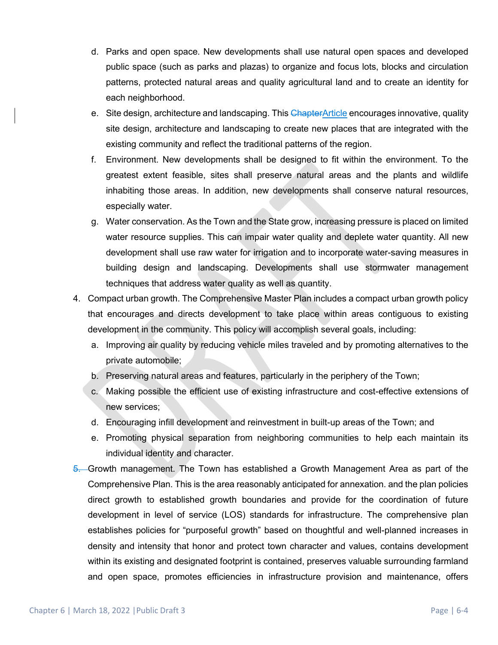- d. Parks and open space. New developments shall use natural open spaces and developed public space (such as parks and plazas) to organize and focus lots, blocks and circulation patterns, protected natural areas and quality agricultural land and to create an identity for each neighborhood.
- e. Site design, architecture and landscaping. This ChapterArticle encourages innovative, quality site design, architecture and landscaping to create new places that are integrated with the existing community and reflect the traditional patterns of the region.
- f. Environment. New developments shall be designed to fit within the environment. To the greatest extent feasible, sites shall preserve natural areas and the plants and wildlife inhabiting those areas. In addition, new developments shall conserve natural resources, especially water.
- g. Water conservation. As the Town and the State grow, increasing pressure is placed on limited water resource supplies. This can impair water quality and deplete water quantity. All new development shall use raw water for irrigation and to incorporate water-saving measures in building design and landscaping. Developments shall use stormwater management techniques that address water quality as well as quantity.
- 4. Compact urban growth. The Comprehensive Master Plan includes a compact urban growth policy that encourages and directs development to take place within areas contiguous to existing development in the community. This policy will accomplish several goals, including:
	- a. Improving air quality by reducing vehicle miles traveled and by promoting alternatives to the private automobile;
	- b. Preserving natural areas and features, particularly in the periphery of the Town;
	- c. Making possible the efficient use of existing infrastructure and cost-effective extensions of new services;
	- d. Encouraging infill development and reinvestment in built-up areas of the Town; and
	- e. Promoting physical separation from neighboring communities to help each maintain its individual identity and character.
- 5. Growth management. The Town has established a Growth Management Area as part of the Comprehensive Plan. This is the area reasonably anticipated for annexation. and the plan policies direct growth to established growth boundaries and provide for the coordination of future development in level of service (LOS) standards for infrastructure. The comprehensive plan establishes policies for "purposeful growth" based on thoughtful and well-planned increases in density and intensity that honor and protect town character and values, contains development within its existing and designated footprint is contained, preserves valuable surrounding farmland and open space, promotes efficiencies in infrastructure provision and maintenance, offers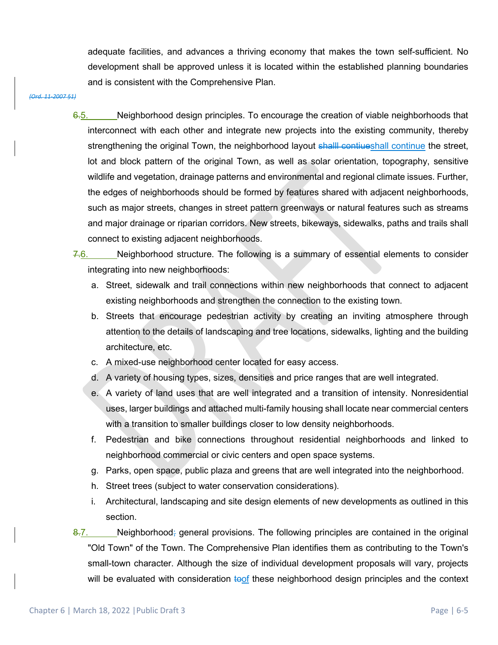adequate facilities, and advances a thriving economy that makes the town self-sufficient. No development shall be approved unless it is located within the established planning boundaries and is consistent with the Comprehensive Plan.

#### *(Ord. 11-2007 §1)*

6.5. Neighborhood design principles. To encourage the creation of viable neighborhoods that interconnect with each other and integrate new projects into the existing community, thereby strengthening the original Town, the neighborhood layout shall contiueshall continue the street, lot and block pattern of the original Town, as well as solar orientation, topography, sensitive wildlife and vegetation, drainage patterns and environmental and regional climate issues. Further, the edges of neighborhoods should be formed by features shared with adjacent neighborhoods, such as major streets, changes in street pattern greenways or natural features such as streams and major drainage or riparian corridors. New streets, bikeways, sidewalks, paths and trails shall connect to existing adjacent neighborhoods.

 $7.6.$  Neighborhood structure. The following is a summary of essential elements to consider integrating into new neighborhoods:

- a. Street, sidewalk and trail connections within new neighborhoods that connect to adjacent existing neighborhoods and strengthen the connection to the existing town.
- b. Streets that encourage pedestrian activity by creating an inviting atmosphere through attention to the details of landscaping and tree locations, sidewalks, lighting and the building architecture, etc.
- c. A mixed-use neighborhood center located for easy access.
- d. A variety of housing types, sizes, densities and price ranges that are well integrated.
- e. A variety of land uses that are well integrated and a transition of intensity. Nonresidential uses, larger buildings and attached multi-family housing shall locate near commercial centers with a transition to smaller buildings closer to low density neighborhoods.
- f. Pedestrian and bike connections throughout residential neighborhoods and linked to neighborhood commercial or civic centers and open space systems.
- g. Parks, open space, public plaza and greens that are well integrated into the neighborhood.
- h. Street trees (subject to water conservation considerations).
- i. Architectural, landscaping and site design elements of new developments as outlined in this section.

 $\frac{8.7}{8}$ . Neighborhood; general provisions. The following principles are contained in the original "Old Town" of the Town. The Comprehensive Plan identifies them as contributing to the Town's small-town character. Although the size of individual development proposals will vary, projects will be evaluated with consideration  $\frac{1}{6}$  these neighborhood design principles and the context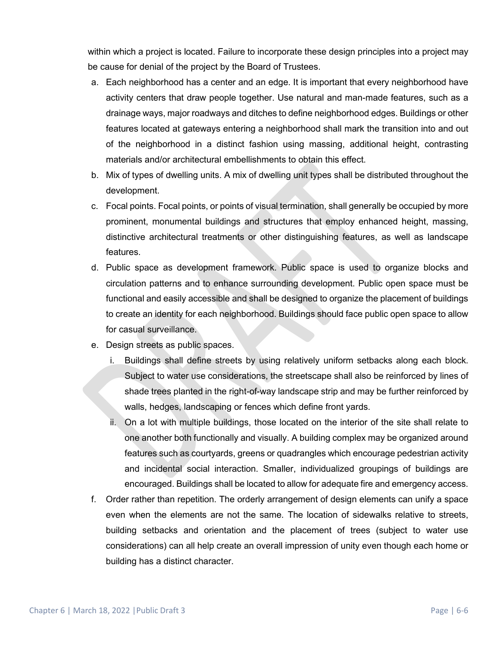within which a project is located. Failure to incorporate these design principles into a project may be cause for denial of the project by the Board of Trustees.

- a. Each neighborhood has a center and an edge. It is important that every neighborhood have activity centers that draw people together. Use natural and man-made features, such as a drainage ways, major roadways and ditches to define neighborhood edges. Buildings or other features located at gateways entering a neighborhood shall mark the transition into and out of the neighborhood in a distinct fashion using massing, additional height, contrasting materials and/or architectural embellishments to obtain this effect.
- b. Mix of types of dwelling units. A mix of dwelling unit types shall be distributed throughout the development.
- c. Focal points. Focal points, or points of visual termination, shall generally be occupied by more prominent, monumental buildings and structures that employ enhanced height, massing, distinctive architectural treatments or other distinguishing features, as well as landscape features.
- d. Public space as development framework. Public space is used to organize blocks and circulation patterns and to enhance surrounding development. Public open space must be functional and easily accessible and shall be designed to organize the placement of buildings to create an identity for each neighborhood. Buildings should face public open space to allow for casual surveillance.
- e. Design streets as public spaces.
	- i. Buildings shall define streets by using relatively uniform setbacks along each block. Subject to water use considerations, the streetscape shall also be reinforced by lines of shade trees planted in the right-of-way landscape strip and may be further reinforced by walls, hedges, landscaping or fences which define front yards.
	- ii. On a lot with multiple buildings, those located on the interior of the site shall relate to one another both functionally and visually. A building complex may be organized around features such as courtyards, greens or quadrangles which encourage pedestrian activity and incidental social interaction. Smaller, individualized groupings of buildings are encouraged. Buildings shall be located to allow for adequate fire and emergency access.
- f. Order rather than repetition. The orderly arrangement of design elements can unify a space even when the elements are not the same. The location of sidewalks relative to streets, building setbacks and orientation and the placement of trees (subject to water use considerations) can all help create an overall impression of unity even though each home or building has a distinct character.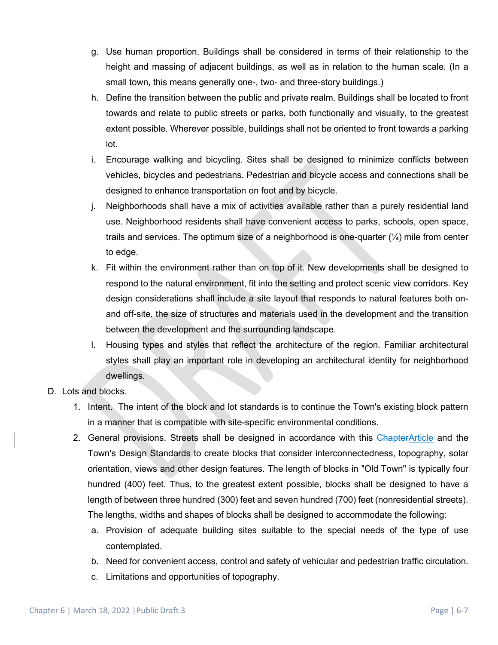- g. Use human proportion. Buildings shall be considered in terms of their relationship to the height and massing of adjacent buildings, as well as in relation to the human scale. (In a small town, this means generally one-, two- and three-story buildings.)
- h. Define the transition between the public and private realm. Buildings shall be located to front towards and relate to public streets or parks, both functionally and visually, to the greatest extent possible. Wherever possible, buildings shall not be oriented to front towards a parking lot.
- i. Encourage walking and bicycling. Sites shall be designed to minimize conflicts between vehicles, bicycles and pedestrians. Pedestrian and bicycle access and connections shall be designed to enhance transportation on foot and by bicycle.
- j. Neighborhoods shall have a mix of activities available rather than a purely residential land use. Neighborhood residents shall have convenient access to parks, schools, open space, trails and services. The optimum size of a neighborhood is one-quarter  $(\frac{1}{4})$  mile from center to edge.
- k. Fit within the environment rather than on top of it. New developments shall be designed to respond to the natural environment, fit into the setting and protect scenic view corridors. Key design considerations shall include a site layout that responds to natural features both onand off-site, the size of structures and materials used in the development and the transition between the development and the surrounding landscape.
- l. Housing types and styles that reflect the architecture of the region. Familiar architectural styles shall play an important role in developing an architectural identity for neighborhood dwellings.
- D. Lots and blocks.
	- 1. Intent. The intent of the block and lot standards is to continue the Town's existing block pattern in a manner that is compatible with site-specific environmental conditions.
	- 2. General provisions. Streets shall be designed in accordance with this ChapterArticle and the Town's Design Standards to create blocks that consider interconnectedness, topography, solar orientation, views and other design features. The length of blocks in "Old Town" is typically four hundred (400) feet. Thus, to the greatest extent possible, blocks shall be designed to have a length of between three hundred (300) feet and seven hundred (700) feet (nonresidential streets). The lengths, widths and shapes of blocks shall be designed to accommodate the following:
		- a. Provision of adequate building sites suitable to the special needs of the type of use contemplated.
		- b. Need for convenient access, control and safety of vehicular and pedestrian traffic circulation.
		- c. Limitations and opportunities of topography.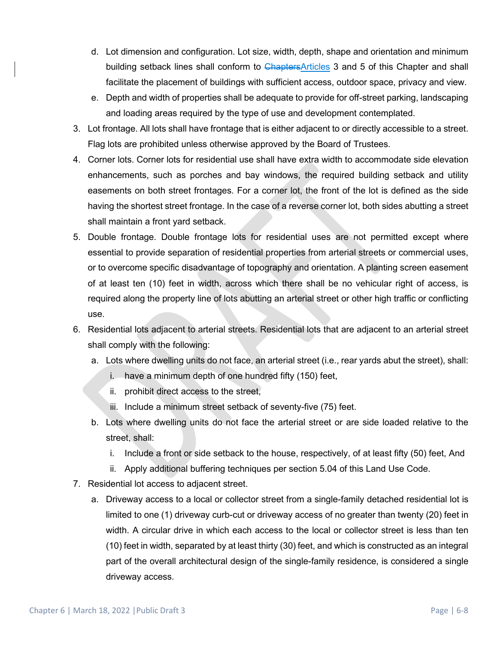- d. Lot dimension and configuration. Lot size, width, depth, shape and orientation and minimum building setback lines shall conform to ChaptersArticles 3 and 5 of this Chapter and shall facilitate the placement of buildings with sufficient access, outdoor space, privacy and view.
- e. Depth and width of properties shall be adequate to provide for off-street parking, landscaping and loading areas required by the type of use and development contemplated.
- 3. Lot frontage. All lots shall have frontage that is either adjacent to or directly accessible to a street. Flag lots are prohibited unless otherwise approved by the Board of Trustees.
- 4. Corner lots. Corner lots for residential use shall have extra width to accommodate side elevation enhancements, such as porches and bay windows, the required building setback and utility easements on both street frontages. For a corner lot, the front of the lot is defined as the side having the shortest street frontage. In the case of a reverse corner lot, both sides abutting a street shall maintain a front yard setback.
- 5. Double frontage. Double frontage lots for residential uses are not permitted except where essential to provide separation of residential properties from arterial streets or commercial uses, or to overcome specific disadvantage of topography and orientation. A planting screen easement of at least ten (10) feet in width, across which there shall be no vehicular right of access, is required along the property line of lots abutting an arterial street or other high traffic or conflicting use.
- 6. Residential lots adjacent to arterial streets. Residential lots that are adjacent to an arterial street shall comply with the following:
	- a. Lots where dwelling units do not face, an arterial street (i.e., rear yards abut the street), shall:
		- i. have a minimum depth of one hundred fifty (150) feet,
		- ii. prohibit direct access to the street,
		- iii. Include a minimum street setback of seventy-five (75) feet.
	- b. Lots where dwelling units do not face the arterial street or are side loaded relative to the street, shall:
		- i. Include a front or side setback to the house, respectively, of at least fifty (50) feet, And
		- ii. Apply additional buffering techniques per section 5.04 of this Land Use Code.
- 7. Residential lot access to adjacent street.
	- a. Driveway access to a local or collector street from a single-family detached residential lot is limited to one (1) driveway curb-cut or driveway access of no greater than twenty (20) feet in width. A circular drive in which each access to the local or collector street is less than ten (10) feet in width, separated by at least thirty (30) feet, and which is constructed as an integral part of the overall architectural design of the single-family residence, is considered a single driveway access.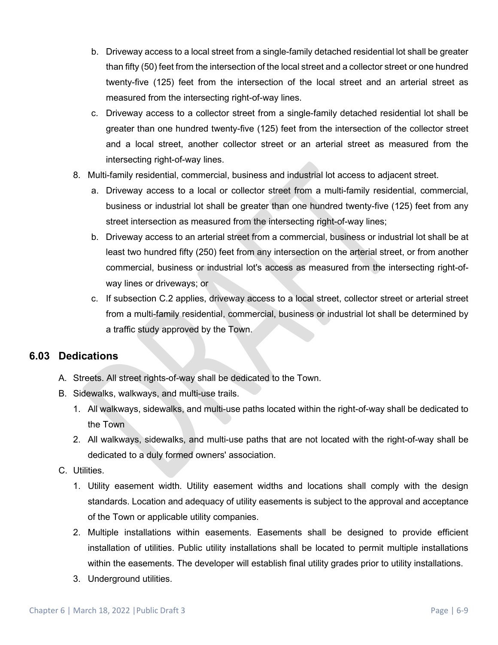- b. Driveway access to a local street from a single-family detached residential lot shall be greater than fifty (50) feet from the intersection of the local street and a collector street or one hundred twenty-five (125) feet from the intersection of the local street and an arterial street as measured from the intersecting right-of-way lines.
- c. Driveway access to a collector street from a single-family detached residential lot shall be greater than one hundred twenty-five (125) feet from the intersection of the collector street and a local street, another collector street or an arterial street as measured from the intersecting right-of-way lines.
- 8. Multi-family residential, commercial, business and industrial lot access to adjacent street.
	- a. Driveway access to a local or collector street from a multi-family residential, commercial, business or industrial lot shall be greater than one hundred twenty-five (125) feet from any street intersection as measured from the intersecting right-of-way lines;
	- b. Driveway access to an arterial street from a commercial, business or industrial lot shall be at least two hundred fifty (250) feet from any intersection on the arterial street, or from another commercial, business or industrial lot's access as measured from the intersecting right-ofway lines or driveways; or
	- c. If subsection C.2 applies, driveway access to a local street, collector street or arterial street from a multi-family residential, commercial, business or industrial lot shall be determined by a traffic study approved by the Town.

## **6.03 Dedications**

- A. Streets. All street rights-of-way shall be dedicated to the Town.
- B. Sidewalks, walkways, and multi-use trails.
	- 1. All walkways, sidewalks, and multi-use paths located within the right-of-way shall be dedicated to the Town
	- 2. All walkways, sidewalks, and multi-use paths that are not located with the right-of-way shall be dedicated to a duly formed owners' association.

#### C. Utilities.

- 1. Utility easement width. Utility easement widths and locations shall comply with the design standards. Location and adequacy of utility easements is subject to the approval and acceptance of the Town or applicable utility companies.
- 2. Multiple installations within easements. Easements shall be designed to provide efficient installation of utilities. Public utility installations shall be located to permit multiple installations within the easements. The developer will establish final utility grades prior to utility installations.
- 3. Underground utilities.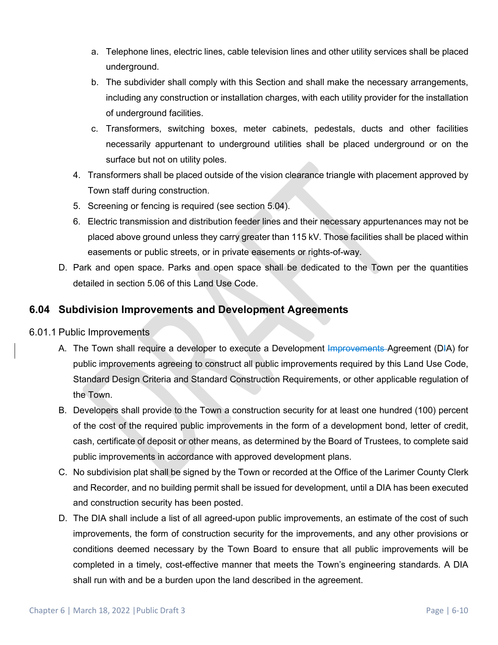- a. Telephone lines, electric lines, cable television lines and other utility services shall be placed underground.
- b. The subdivider shall comply with this Section and shall make the necessary arrangements, including any construction or installation charges, with each utility provider for the installation of underground facilities.
- c. Transformers, switching boxes, meter cabinets, pedestals, ducts and other facilities necessarily appurtenant to underground utilities shall be placed underground or on the surface but not on utility poles.
- 4. Transformers shall be placed outside of the vision clearance triangle with placement approved by Town staff during construction.
- 5. Screening or fencing is required (see section 5.04).
- 6. Electric transmission and distribution feeder lines and their necessary appurtenances may not be placed above ground unless they carry greater than 115 kV. Those facilities shall be placed within easements or public streets, or in private easements or rights-of-way.
- D. Park and open space. Parks and open space shall be dedicated to the Town per the quantities detailed in section 5.06 of this Land Use Code.

# **6.04 Subdivision Improvements and Development Agreements**

- 6.01.1 Public Improvements
	- A. The Town shall require a developer to execute a Development Improvements Agreement (DIA) for public improvements agreeing to construct all public improvements required by this Land Use Code, Standard Design Criteria and Standard Construction Requirements, or other applicable regulation of the Town.
	- B. Developers shall provide to the Town a construction security for at least one hundred (100) percent of the cost of the required public improvements in the form of a development bond, letter of credit, cash, certificate of deposit or other means, as determined by the Board of Trustees, to complete said public improvements in accordance with approved development plans.
	- C. No subdivision plat shall be signed by the Town or recorded at the Office of the Larimer County Clerk and Recorder, and no building permit shall be issued for development, until a DIA has been executed and construction security has been posted.
	- D. The DIA shall include a list of all agreed-upon public improvements, an estimate of the cost of such improvements, the form of construction security for the improvements, and any other provisions or conditions deemed necessary by the Town Board to ensure that all public improvements will be completed in a timely, cost-effective manner that meets the Town's engineering standards. A DIA shall run with and be a burden upon the land described in the agreement.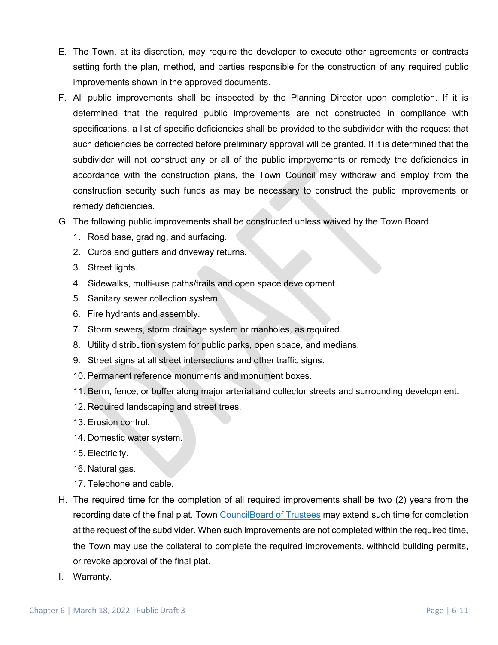- E. The Town, at its discretion, may require the developer to execute other agreements or contracts setting forth the plan, method, and parties responsible for the construction of any required public improvements shown in the approved documents.
- F. All public improvements shall be inspected by the Planning Director upon completion. If it is determined that the required public improvements are not constructed in compliance with specifications, a list of specific deficiencies shall be provided to the subdivider with the request that such deficiencies be corrected before preliminary approval will be granted. If it is determined that the subdivider will not construct any or all of the public improvements or remedy the deficiencies in accordance with the construction plans, the Town Council may withdraw and employ from the construction security such funds as may be necessary to construct the public improvements or remedy deficiencies.
- G. The following public improvements shall be constructed unless waived by the Town Board.
	- 1. Road base, grading, and surfacing.
	- 2. Curbs and gutters and driveway returns.
	- 3. Street lights.
	- 4. Sidewalks, multi-use paths/trails and open space development.
	- 5. Sanitary sewer collection system.
	- 6. Fire hydrants and assembly.
	- 7. Storm sewers, storm drainage system or manholes, as required.
	- 8. Utility distribution system for public parks, open space, and medians.
	- 9. Street signs at all street intersections and other traffic signs.
	- 10. Permanent reference monuments and monument boxes.
	- 11. Berm, fence, or buffer along major arterial and collector streets and surrounding development.
	- 12. Required landscaping and street trees.
	- 13. Erosion control.
	- 14. Domestic water system.
	- 15. Electricity.
	- 16. Natural gas.
	- 17. Telephone and cable.
- H. The required time for the completion of all required improvements shall be two (2) years from the recording date of the final plat. Town Council Board of Trustees may extend such time for completion at the request of the subdivider. When such improvements are not completed within the required time, the Town may use the collateral to complete the required improvements, withhold building permits, or revoke approval of the final plat.
- I. Warranty.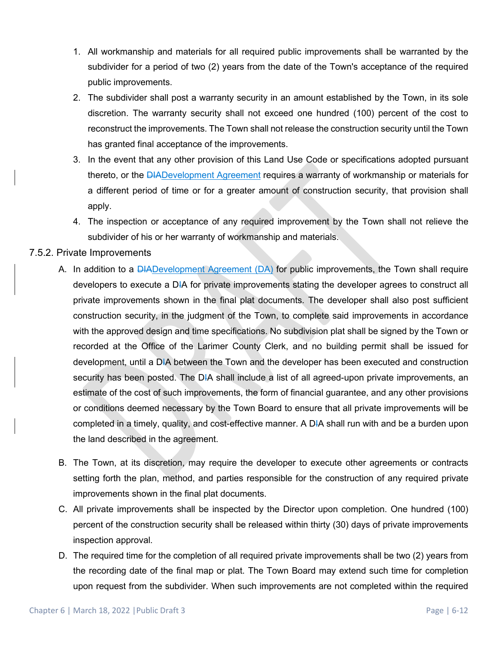- 1. All workmanship and materials for all required public improvements shall be warranted by the subdivider for a period of two (2) years from the date of the Town's acceptance of the required public improvements.
- 2. The subdivider shall post a warranty security in an amount established by the Town, in its sole discretion. The warranty security shall not exceed one hundred (100) percent of the cost to reconstruct the improvements. The Town shall not release the construction security until the Town has granted final acceptance of the improvements.
- 3. In the event that any other provision of this Land Use Code or specifications adopted pursuant thereto, or the **DIADevelopment Agreement requires a warranty of workmanship or materials for** a different period of time or for a greater amount of construction security, that provision shall apply.
- 4. The inspection or acceptance of any required improvement by the Town shall not relieve the subdivider of his or her warranty of workmanship and materials.

#### 7.5.2. Private Improvements

- A. In addition to a **DIADevelopment Agreement (DA)** for public improvements, the Town shall require developers to execute a DIA for private improvements stating the developer agrees to construct all private improvements shown in the final plat documents. The developer shall also post sufficient construction security, in the judgment of the Town, to complete said improvements in accordance with the approved design and time specifications. No subdivision plat shall be signed by the Town or recorded at the Office of the Larimer County Clerk, and no building permit shall be issued for development, until a DIA between the Town and the developer has been executed and construction security has been posted. The DIA shall include a list of all agreed-upon private improvements, an estimate of the cost of such improvements, the form of financial guarantee, and any other provisions or conditions deemed necessary by the Town Board to ensure that all private improvements will be completed in a timely, quality, and cost-effective manner. A DIA shall run with and be a burden upon the land described in the agreement.
- B. The Town, at its discretion, may require the developer to execute other agreements or contracts setting forth the plan, method, and parties responsible for the construction of any required private improvements shown in the final plat documents.
- C. All private improvements shall be inspected by the Director upon completion. One hundred (100) percent of the construction security shall be released within thirty (30) days of private improvements inspection approval.
- D. The required time for the completion of all required private improvements shall be two (2) years from the recording date of the final map or plat. The Town Board may extend such time for completion upon request from the subdivider. When such improvements are not completed within the required